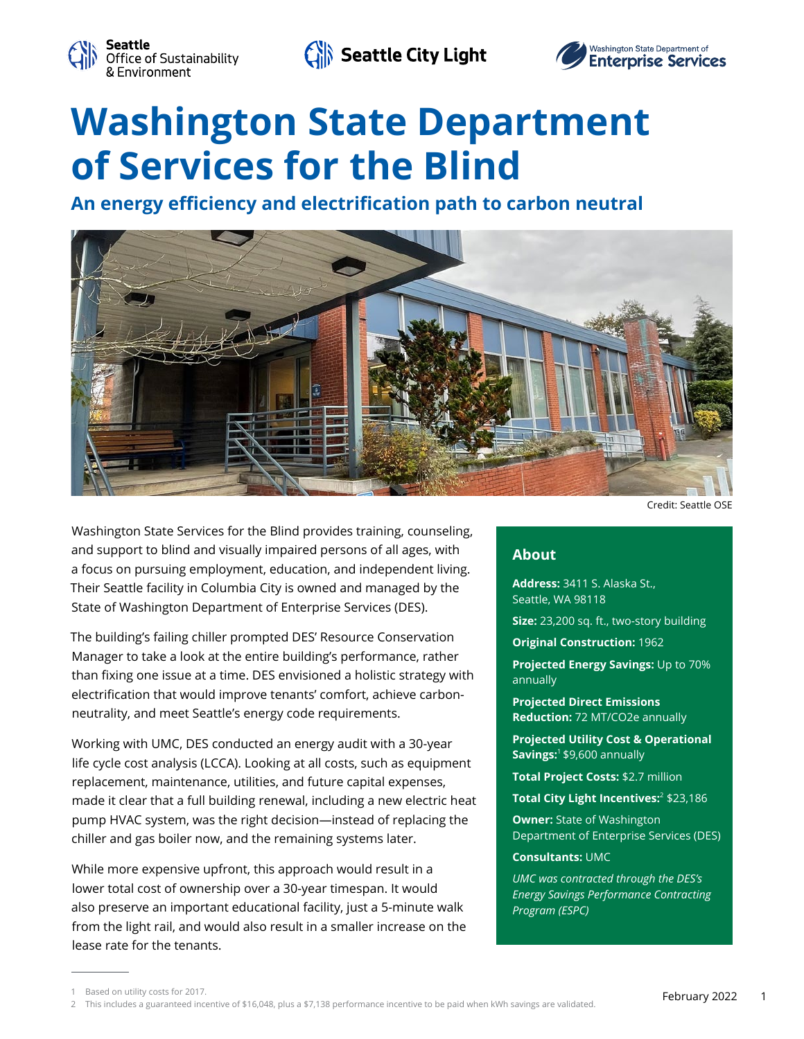

Seattle City Light



# **Washington State Department of Services for the Blind**

**An energy efficiency and electrification path to carbon neutral**



Washington State Services for the Blind provides training, counseling, and support to blind and visually impaired persons of all ages, with a focus on pursuing employment, education, and independent living. Their Seattle facility in Columbia City is owned and managed by the State of Washington Department of Enterprise Services (DES).

The building's failing chiller prompted DES' Resource Conservation Manager to take a look at the entire building's performance, rather than fixing one issue at a time. DES envisioned a holistic strategy with electrification that would improve tenants' comfort, achieve carbonneutrality, and meet Seattle's energy code requirements.

Working with UMC, DES conducted an energy audit with a 30-year life cycle cost analysis (LCCA). Looking at all costs, such as equipment replacement, maintenance, utilities, and future capital expenses, made it clear that a full building renewal, including a new electric heat pump HVAC system, was the right decision—instead of replacing the chiller and gas boiler now, and the remaining systems later.

While more expensive upfront, this approach would result in a lower total cost of ownership over a 30-year timespan. It would also preserve an important educational facility, just a 5-minute walk from the light rail, and would also result in a smaller increase on the lease rate for the tenants.

# **About**

**Address:** 3411 S. Alaska St., Seattle, WA 98118

**Size:** 23,200 sq. ft., two-story building

**Original Construction:** 1962

**Projected Energy Savings:** Up to 70% annually

**Projected Direct Emissions Reduction:** 72 MT/CO2e annually

**Projected Utility Cost & Operational Savings:**1 \$9,600 annually

**Total Project Costs:** \$2.7 million

**Total City Light Incentives:**<sup>2</sup> \$23,186

**Owner:** State of Washington Department of Enterprise Services (DES)

### **Consultants:** UMC

*UMC was contracted through the DES's Energy Savings Performance Contracting Program (ESPC)*

Credit: Seattle OSE

<sup>1</sup> Based on utility costs for 2017.

<sup>2</sup> This includes a guaranteed incentive of \$16,048, plus a \$7,138 performance incentive to be paid when kWh savings are validated.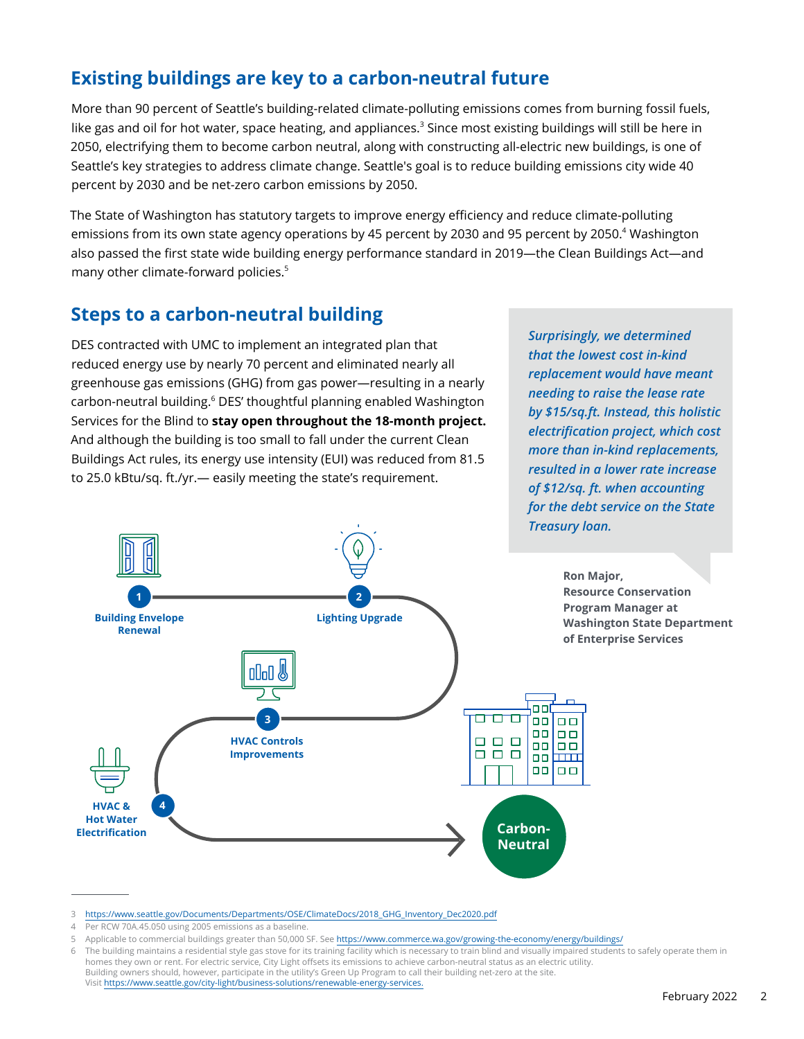# **Existing buildings are key to a carbon-neutral future**

More than 90 percent of Seattle's building-related climate-polluting emissions comes from burning fossil fuels, like gas and oil for hot water, space heating, and appliances.<sup>3</sup> Since most existing buildings will still be here in 2050, electrifying them to become carbon neutral, along with constructing all-electric new buildings, is one of Seattle's key strategies to address climate change. Seattle's goal is to reduce building emissions city wide 40 percent by 2030 and be net-zero carbon emissions by 2050.

The State of Washington has statutory targets to improve energy efficiency and reduce climate-polluting emissions from its own state agency operations by 45 percent by 2030 and 95 percent by 2050.<sup>4</sup> Washington also passed the first state wide building energy performance standard in 2019—the Clean Buildings Act—and many other climate-forward policies.<sup>5</sup>

# **Steps to a carbon-neutral building**

DES contracted with UMC to implement an integrated plan that reduced energy use by nearly 70 percent and eliminated nearly all greenhouse gas emissions (GHG) from gas power—resulting in a nearly carbon-neutral building.<sup>6</sup> DES' thoughtful planning enabled Washington Services for the Blind to **stay open throughout the 18-month project.** And although the building is too small to fall under the current Clean Buildings Act rules, its energy use intensity (EUI) was reduced from 81.5 to 25.0 kBtu/sq. ft./yr.— easily meeting the state's requirement.

*Surprisingly, we determined that the lowest cost in-kind replacement would have meant needing to raise the lease rate by \$15/sq.ft. Instead, this holistic electrification project, which cost more than in-kind replacements, resulted in a lower rate increase of \$12/sq. ft. when accounting for the debt service on the State Treasury loan.*



<sup>3</sup> [https://www.seattle.gov/Documents/Departments/OSE/ClimateDocs/2018\\_GHG\\_Inventory\\_Dec2020.pdf](https://www.seattle.gov/Documents/Departments/OSE/ClimateDocs/2018_GHG_Inventory_Dec2020.pdf)

<sup>4</sup> Per RCW 70A.45.050 using 2005 emissions as a baseline.

<sup>5</sup> Applicable to commercial buildings greater than 50,000 SF. See<https://www.commerce.wa.gov/growing-the-economy/energy/buildings/>

<sup>6</sup> The building maintains a residential style gas stove for its training facility which is necessary to train blind and visually impaired students to safely operate them in homes they own or rent. For electric service, City Light offsets its emissions to achieve carbon-neutral status as an electric utility. Building owners should, however, participate in the utility's Green Up Program to call their building net-zero at the site. Visit<https://www.seattle.gov/city-light/business-solutions/renewable-energy-services.>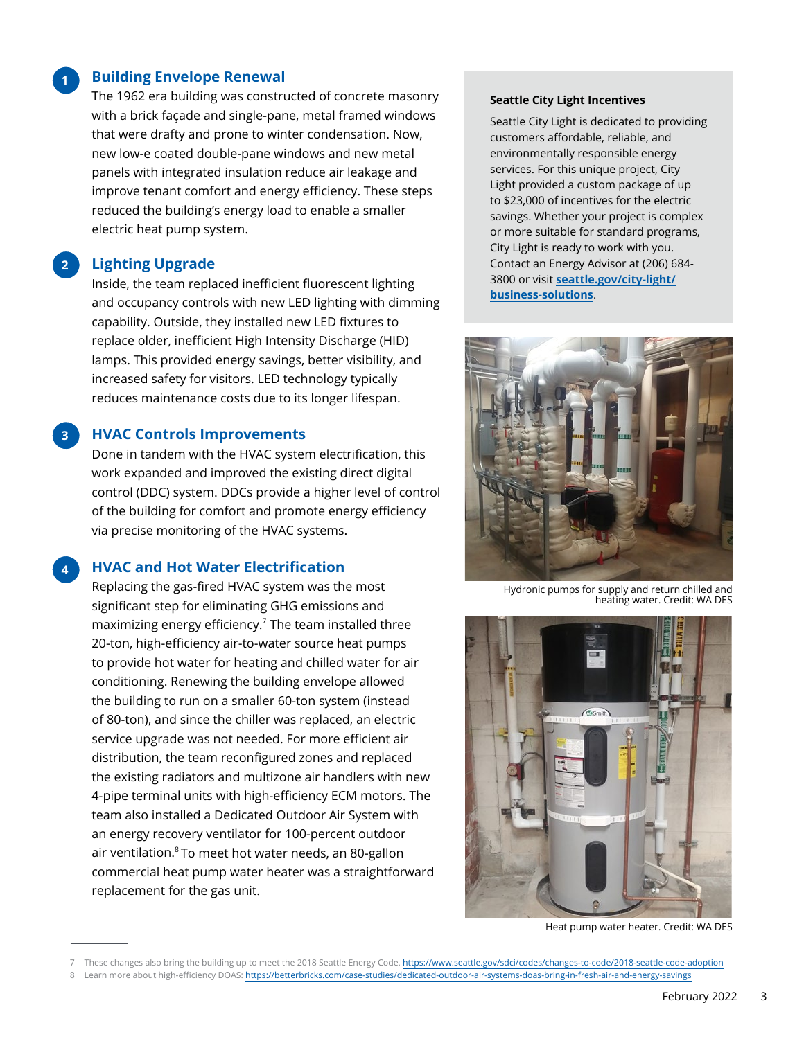## **Building Envelope Renewal**

The 1962 era building was constructed of concrete masonry with a brick façade and single-pane, metal framed windows that were drafty and prone to winter condensation. Now, new low-e coated double-pane windows and new metal panels with integrated insulation reduce air leakage and improve tenant comfort and energy efficiency. These steps reduced the building's energy load to enable a smaller electric heat pump system.

#### **2 Lighting Upgrade**

**1**

**3**

**4**

Inside, the team replaced inefficient fluorescent lighting and occupancy controls with new LED lighting with dimming capability. Outside, they installed new LED fixtures to replace older, inefficient High Intensity Discharge (HID) lamps. This provided energy savings, better visibility, and increased safety for visitors. LED technology typically reduces maintenance costs due to its longer lifespan.

## **HVAC Controls Improvements**

Done in tandem with the HVAC system electrification, this work expanded and improved the existing direct digital control (DDC) system. DDCs provide a higher level of control of the building for comfort and promote energy efficiency via precise monitoring of the HVAC systems.

# **HVAC and Hot Water Electrification**

Replacing the gas-fired HVAC system was the most significant step for eliminating GHG emissions and maximizing energy efficiency.<sup>7</sup> The team installed three 20-ton, high-efficiency air-to-water source heat pumps to provide hot water for heating and chilled water for air conditioning. Renewing the building envelope allowed the building to run on a smaller 60-ton system (instead of 80-ton), and since the chiller was replaced, an electric service upgrade was not needed. For more efficient air distribution, the team reconfigured zones and replaced the existing radiators and multizone air handlers with new 4-pipe terminal units with high-efficiency ECM motors. The team also installed a Dedicated Outdoor Air System with an energy recovery ventilator for 100-percent outdoor air ventilation.<sup>8</sup> To meet hot water needs, an 80-gallon commercial heat pump water heater was a straightforward replacement for the gas unit.

### **Seattle City Light Incentives**

Seattle City Light is dedicated to providing customers affordable, reliable, and environmentally responsible energy services. For this unique project, City Light provided a custom package of up to \$23,000 of incentives for the electric savings. Whether your project is complex or more suitable for standard programs, City Light is ready to work with you. Contact an Energy Advisor at (206) 684- 3800 or visit **[seattle.gov/city-light/](http://seattle.gov/city-light/business-solutions) [business-solutions](http://seattle.gov/city-light/business-solutions)**.



Hydronic pumps for supply and return chilled and heating water. Credit: WA DES



Heat pump water heater. Credit: WA DES

<sup>7</sup> These changes also bring the building up to meet the 2018 Seattle Energy Code. <https://www.seattle.gov/sdci/codes/changes-to-code/2018-seattle-code-adoption> 8 Learn more about high-efficiency DOAS: <https://betterbricks.com/case-studies/dedicated-outdoor-air-systems-doas-bring-in-fresh-air-and-energy-savings>